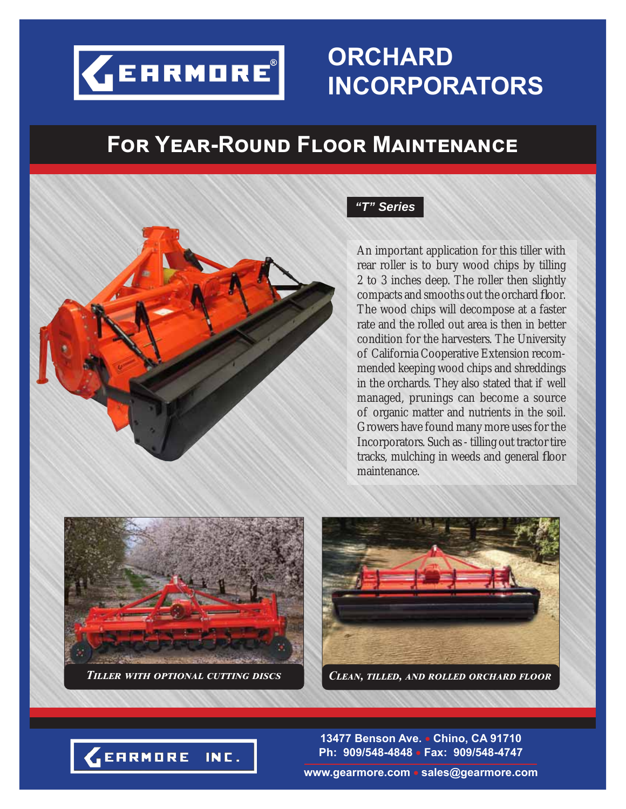

## ORCHARD **INCORPORATORS**

## **FOR YEAR-ROUND FLOOR MAINTENANCE**



#### "T" Series

An important application for this tiller with rear roller is to bury wood chips by tilling 2 to 3 inches deep. The roller then slightly compacts and smooths out the orchard floor. The wood chips will decompose at a faster rate and the rolled out area is then in better condition for the harvesters. The University of California Cooperative Extension recommended keeping wood chips and shreddings in the orchards. They also stated that if well managed, prunings can become a source of organic matter and nutrients in the soil. Growers have found many more uses for the Incorporators. Such as - tilling out tractor tire tracks, mulching in weeds and general floor maintenance.







13477 Benson Ave. • Chino, CA 91710 Ph: 909/548-4848 · Fax: 909/548-4747

www.gearmore.com • sales@gearmore.com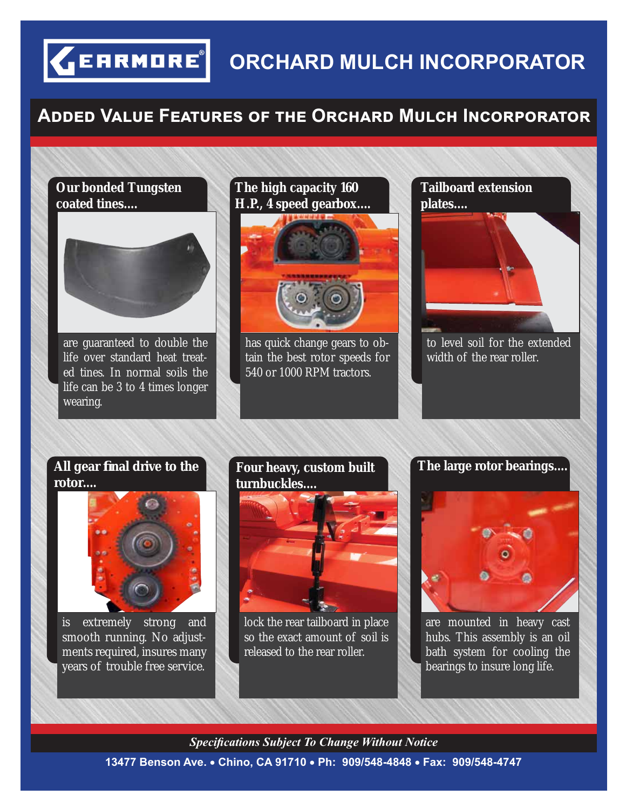**CERRMORE** ORCHARD MULCH INCORPORATOR

### **Aඌඌඍඌ Vඉඔඝඍ Fඍඉගඝකඍඛ ඎ ගඐඍ Oකඋඐඉකඌ Mඝඔඋඐ Iඖඋකකඉගක**

#### **Our bonded Tungsten coated tines....**

are guaranteed to double the life over standard heat treated tines. In normal soils the life can be 3 to 4 times longer wearing.

## **The high capacity 160 H.P., 4 speed gearbox....**



has quick change gears to obtain the best rotor speeds for 540 or 1000 RPM tractors.



to level soil for the extended width of the rear roller.

#### **All gear fi nal drive to the rotor....**



is extremely strong and smooth running. No adjustments required, insures many years of trouble free service.

#### **Four heavy, custom built turnbuckles....**



lock the rear tailboard in place so the exact amount of soil is released to the rear roller.

**The large rotor bearings....**



are mounted in heavy cast hubs. This assembly is an oil bath system for cooling the bearings to insure long life.

#### *Specifi cations Subject To Change Without Notice*

**13477 Benson Ave. Chino, CA 91710 Ph: 909/548-4848 Fax: 909/548-4747**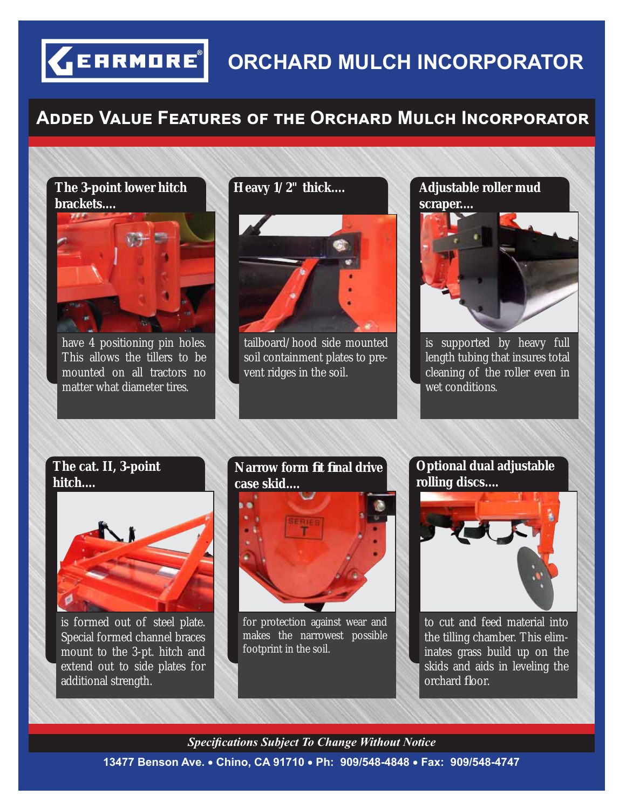## **ORCHARD MULCH INCORPORATOR**

## **Aඌඌඍඌ Vඉඔඝඍ Fඍඉගඝකඍඛ ඎ ගඐඍ Oකඋඐඉකඌ Mඝඔඋඐ Iඖඋකකඉගක**

#### **The 3-point lower hitch brackets....**

**GEARMORE** 



have 4 positioning pin holes. This allows the tillers to be mounted on all tractors no matter what diameter tires.



tailboard/hood side mounted soil containment plates to prevent ridges in the soil.

**Heavy 1/2" thick.... Adjustable roller mud** 



is supported by heavy full length tubing that insures total cleaning of the roller even in wet conditions.

#### **The cat. II, 3-point hitch....**



is formed out of steel plate. Special formed channel braces mount to the 3-pt. hitch and extend out to side plates for additional strength.

#### **Narrow form fi t fi nal drive case skid....**



for protection against wear and makes the narrowest possible footprint in the soil.

**Optional dual adjustable rolling discs....**



to cut and feed material into the tilling chamber. This eliminates grass build up on the skids and aids in leveling the orchard floor.

#### **13477 Benson Ave. Chino, CA 91710 Ph: 909/548-4848 Fax: 909/548-4747** *Specifi cations Subject To Change Without Notice*